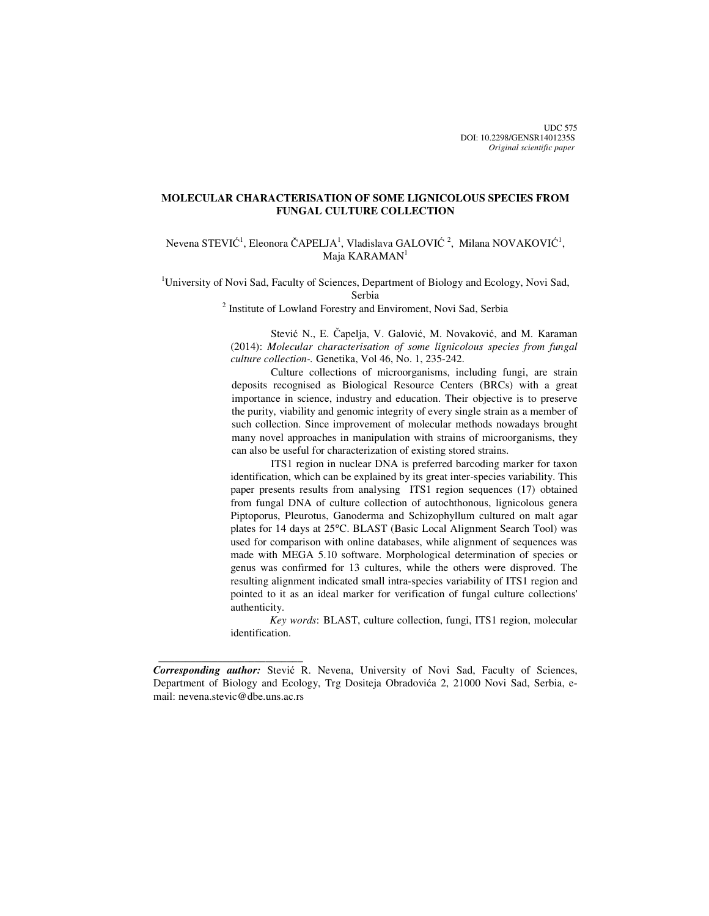# **MOLECULAR CHARACTERISATION OF SOME LIGNICOLOUS SPECIES FROM FUNGAL CULTURE COLLECTION**

Nevena STEVIĆ<sup>1</sup>, Eleonora ČAPELJA<sup>1</sup>, Vladislava GALOVIĆ<sup>2</sup>, Milana NOVAKOVIĆ<sup>1</sup>, Maja KARAMAN<sup>1</sup>

<sup>1</sup>University of Novi Sad, Faculty of Sciences, Department of Biology and Ecology, Novi Sad, Serbia

<sup>2</sup> Institute of Lowland Forestry and Enviroment, Novi Sad, Serbia

 Stević N., E. Čapelja, V. Galović, M. Novaković, and M. Karaman (2014): *Molecular characterisation of some lignicolous species from fungal culture collection-.* Genetika, Vol 46, No. 1, 235-242.

Culture collections of microorganisms, including fungi, are strain deposits recognised as Biological Resource Centers (BRCs) with a great importance in science, industry and education. Their objective is to preserve the purity, viability and genomic integrity of every single strain as a member of such collection. Since improvement of molecular methods nowadays brought many novel approaches in manipulation with strains of microorganisms, they can also be useful for characterization of existing stored strains.

 ITS1 region in nuclear DNA is preferred barcoding marker for taxon identification, which can be explained by its great inter-species variability. This paper presents results from analysing ITS1 region sequences (17) obtained from fungal DNA of culture collection of autochthonous, lignicolous genera Piptoporus, Pleurotus, Ganoderma and Schizophyllum cultured on malt agar plates for 14 days at 25°C. BLAST (Basic Local Alignment Search Tool) was used for comparison with online databases, while alignment of sequences was made with MEGA 5.10 software. Morphological determination of species or genus was confirmed for 13 cultures, while the others were disproved. The resulting alignment indicated small intra-species variability of ITS1 region and pointed to it as an ideal marker for verification of fungal culture collections' authenticity.

*Key words*: BLAST, culture collection, fungi, ITS1 region, molecular identification.

 $\frac{1}{2}$  , and the set of the set of the set of the set of the set of the set of the set of the set of the set of the set of the set of the set of the set of the set of the set of the set of the set of the set of the set

*Corresponding author:* Stević R. Nevena, University of Novi Sad, Faculty of Sciences, Department of Biology and Ecology, Trg Dositeja Obradovića 2, 21000 Novi Sad, Serbia, email: nevena.stevic@dbe.uns.ac.rs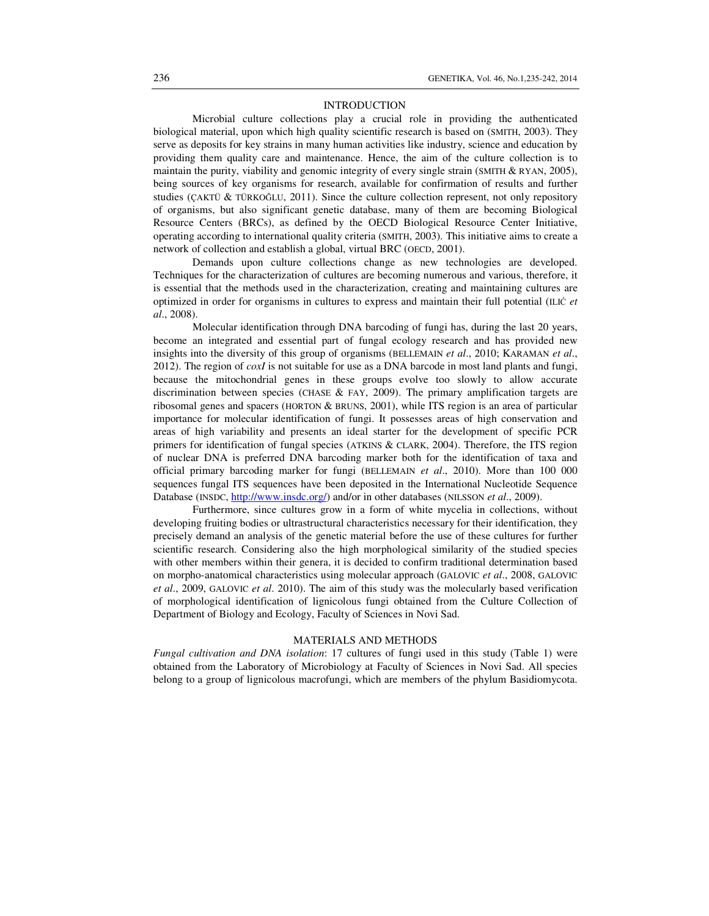### INTRODUCTION

Microbial culture collections play a crucial role in providing the authenticated biological material, upon which high quality scientific research is based on (SMITH, 2003). They serve as deposits for key strains in many human activities like industry, science and education by providing them quality care and maintenance. Hence, the aim of the culture collection is to maintain the purity, viability and genomic integrity of every single strain (SMITH & RYAN, 2005), being sources of key organisms for research, available for confirmation of results and further studies (ÇAKTÜ & TÜRKOĞLU, 2011). Since the culture collection represent, not only repository of organisms, but also significant genetic database, many of them are becoming Biological Resource Centers (BRCs), as defined by the OECD Biological Resource Center Initiative, operating according to international quality criteria (SMITH, 2003). This initiative aims to create a network of collection and establish a global, virtual BRC (OECD, 2001).

 Demands upon culture collections change as new technologies are developed. Techniques for the characterization of cultures are becoming numerous and various, therefore, it is essential that the methods used in the characterization, creating and maintaining cultures are optimized in order for organisms in cultures to express and maintain their full potential (ILIĆ *et al*., 2008).

 Molecular identification through DNA barcoding of fungi has, during the last 20 years, become an integrated and essential part of fungal ecology research and has provided new insights into the diversity of this group of organisms (BELLEMAIN *et al*., 2010; KARAMAN *et al*., 2012). The region of *coxI* is not suitable for use as a DNA barcode in most land plants and fungi, because the mitochondrial genes in these groups evolve too slowly to allow accurate discrimination between species (CHASE & FAY, 2009). The primary amplification targets are ribosomal genes and spacers (HORTON & BRUNS, 2001), while ITS region is an area of particular importance for molecular identification of fungi. It possesses areas of high conservation and areas of high variability and presents an ideal starter for the development of specific PCR primers for identification of fungal species (ATKINS & CLARK, 2004). Therefore, the ITS region of nuclear DNA is preferred DNA barcoding marker both for the identification of taxa and official primary barcoding marker for fungi (BELLEMAIN *et al*., 2010). More than 100 000 sequences fungal ITS sequences have been deposited in the International Nucleotide Sequence Database (INSDC, http://www.insdc.org/) and/or in other databases (NILSSON *et al.*, 2009).

 Furthermore, since cultures grow in a form of white mycelia in collections, without developing fruiting bodies or ultrastructural characteristics necessary for their identification, they precisely demand an analysis of the genetic material before the use of these cultures for further scientific research. Considering also the high morphological similarity of the studied species with other members within their genera, it is decided to confirm traditional determination based on morpho-anatomical characteristics using molecular approach (GALOVIC *et al*., 2008, GALOVIC *et al*., 2009, GALOVIC *et al*. 2010). The aim of this study was the molecularly based verification of morphological identification of lignicolous fungi obtained from the Culture Collection of Department of Biology and Ecology, Faculty of Sciences in Novi Sad.

### MATERIALS AND METHODS

*Fungal cultivation and DNA isolation*: 17 cultures of fungi used in this study (Table 1) were obtained from the Laboratory of Microbiology at Faculty of Sciences in Novi Sad. All species belong to a group of lignicolous macrofungi, which are members of the phylum Basidiomycota.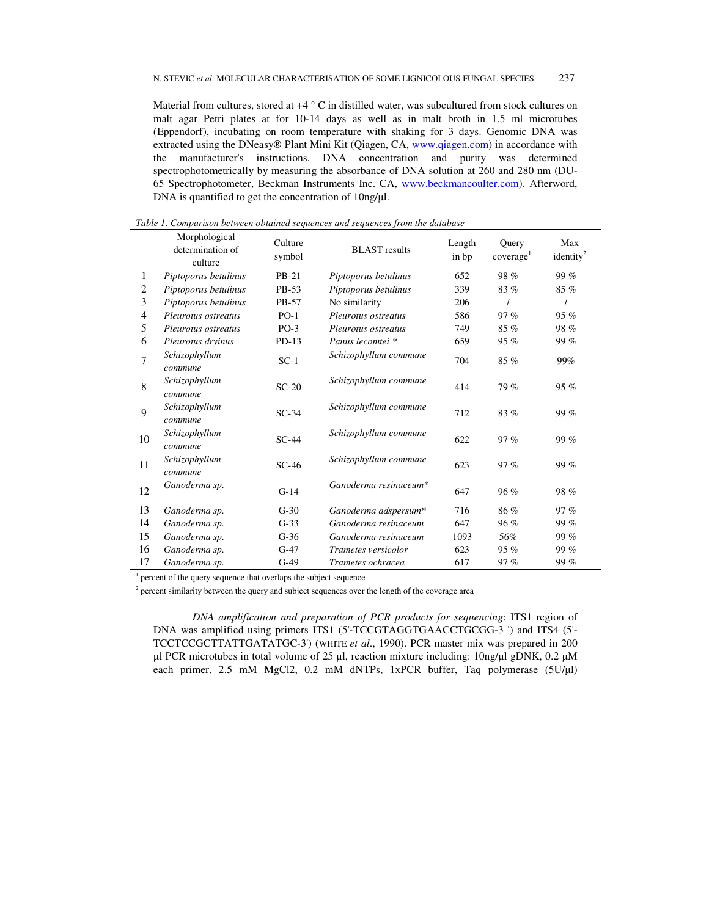Material from cultures, stored at  $+4^{\circ}$  C in distilled water, was subcultured from stock cultures on malt agar Petri plates at for 10-14 days as well as in malt broth in 1.5 ml microtubes (Eppendorf), incubating on room temperature with shaking for 3 days. Genomic DNA was extracted using the DNeasy® Plant Mini Kit (Qiagen, CA, www.qiagen.com) in accordance with the manufacturer's instructions. DNA concentration and purity was determined spectrophotometrically by measuring the absorbance of DNA solution at 260 and 280 nm (DU-65 Spectrophotometer, Beckman Instruments Inc. CA, www.beckmancoulter.com). Afterword, DNA is quantified to get the concentration of 10ng/µl.

|                                                                                | Morphological<br>determination of<br>culture | Culture<br>symbol | <b>BLAST</b> results  | Length<br>in bp | Query<br>coverage <sup>1</sup> | Max<br>identity <sup>2</sup> |
|--------------------------------------------------------------------------------|----------------------------------------------|-------------------|-----------------------|-----------------|--------------------------------|------------------------------|
| 1                                                                              | Piptoporus betulinus                         | $PB-21$           | Piptoporus betulinus  | 652             | 98%                            | 99%                          |
| 2                                                                              | Piptoporus betulinus                         | PB-53             | Piptoporus betulinus  | 339             | 83%                            | $85\%$                       |
| 3                                                                              | Piptoporus betulinus                         | PB-57             | No similarity         | 206             |                                |                              |
| $\overline{4}$                                                                 | Pleurotus ostreatus                          | $PO-1$            | Pleurotus ostreatus   | 586             | 97%                            | 95%                          |
| 5                                                                              | Pleurotus ostreatus                          | $PO-3$            | Pleurotus ostreatus   | 749             | 85%                            | 98 %                         |
| 6                                                                              | Pleurotus dryinus                            | $PD-13$           | Panus lecomtei *      | 659             | 95%                            | 99 %                         |
| 7                                                                              | Schizophyllum<br>commune                     | $SC-1$            | Schizophyllum commune | 704             | 85%                            | 99%                          |
| 8                                                                              | Schizophyllum<br>commune                     | $SC-20$           | Schizophyllum commune | 414             | 79%                            | 95 %                         |
| 9                                                                              | Schizophyllum<br>commune                     | $SC-34$           | Schizophyllum commune | 712             | 83%                            | 99 %                         |
| 10                                                                             | Schizophyllum<br>commune                     | $SC-44$           | Schizophyllum commune | 622             | 97%                            | 99 %                         |
| 11                                                                             | Schizophyllum<br>commune                     | $SC-46$           | Schizophyllum commune | 623             | 97%                            | 99 %                         |
| 12                                                                             | Ganoderma sp.                                | $G-14$            | Ganoderma resinaceum* | 647             | 96%                            | 98 %                         |
| 13                                                                             | Ganoderma sp.                                | $G-30$            | Ganoderma adspersum*  | 716             | 86%                            | 97 %                         |
| 14                                                                             | Ganoderma sp.                                | $G-33$            | Ganoderma resinaceum  | 647             | 96%                            | 99%                          |
| 15                                                                             | Ganoderma sp.                                | $G-36$            | Ganoderma resinaceum  | 1093            | 56%                            | 99 %                         |
| 16                                                                             | Ganoderma sp.                                | $G-47$            | Trametes versicolor   | 623             | 95%                            | 99 %                         |
| 17                                                                             | Ganoderma sp.                                | $G-49$            | Trametes ochracea     | 617             | 97%                            | 99 %                         |
| $\frac{1}{1}$ percent of the query sequence that overlaps the subject sequence |                                              |                   |                       |                 |                                |                              |

*Table 1. Comparison between obtained sequences and sequences from the database* 

percent of the query sequence that overlaps the subject sequence

2 percent similarity between the query and subject sequences over the length of the coverage area

*DNA amplification and preparation of PCR products for sequencing*: ITS1 region of DNA was amplified using primers ITS1 (5'-TCCGTAGGTGAACCTGCGG-3 ') and ITS4 (5'- TCCTCCGCTTATTGATATGC-3') (WHITE *et al*., 1990). PCR master mix was prepared in 200 µl PCR microtubes in total volume of 25 µl, reaction mixture including:  $10ng/\mu$ l gDNK, 0.2  $\mu$ M each primer, 2.5 mM MgCl2, 0.2 mM dNTPs, 1xPCR buffer, Taq polymerase (5U/µl)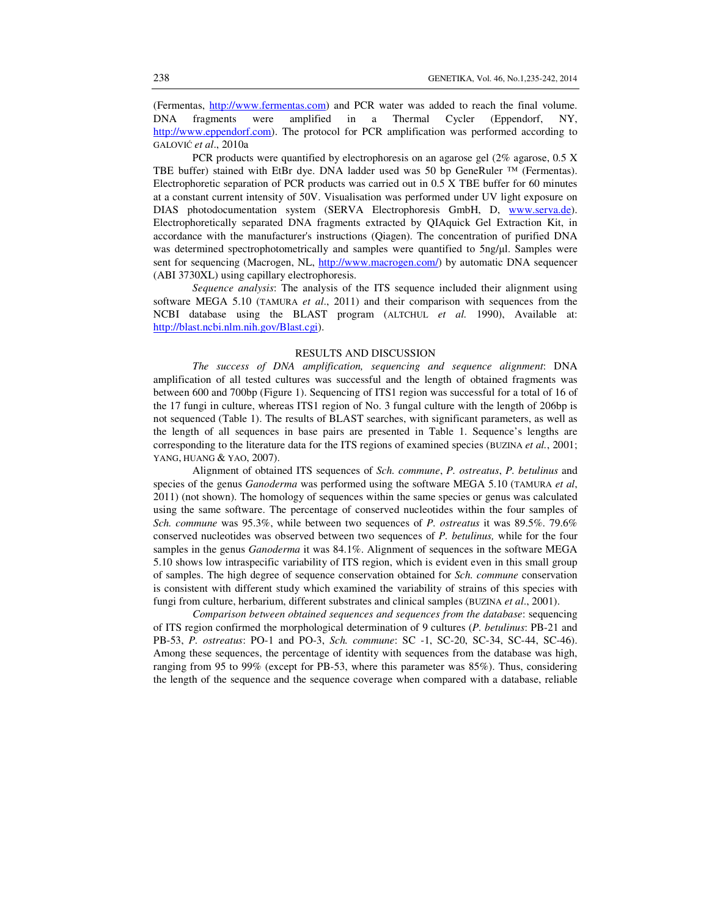(Fermentas, http://www.fermentas.com) and PCR water was added to reach the final volume. DNA fragments were amplified in a Thermal Cycler (Eppendorf, NY, http://www.eppendorf.com). The protocol for PCR amplification was performed according to GALOVIĆ *et al*., 2010a

 PCR products were quantified by electrophoresis on an agarose gel (2% agarose, 0.5 X TBE buffer) stained with EtBr dye. DNA ladder used was 50 bp GeneRuler ™ (Fermentas). Electrophoretic separation of PCR products was carried out in 0.5 X TBE buffer for 60 minutes at a constant current intensity of 50V. Visualisation was performed under UV light exposure on DIAS photodocumentation system (SERVA Electrophoresis GmbH, D, www.serva.de). Electrophoretically separated DNA fragments extracted by QIAquick Gel Extraction Kit, in accordance with the manufacturer's instructions (Qiagen). The concentration of purified DNA was determined spectrophotometrically and samples were quantified to 5ng/ $\mu$ l. Samples were sent for sequencing (Macrogen, NL, http://www.macrogen.com/) by automatic DNA sequencer (ABI 3730XL) using capillary electrophoresis.

*Sequence analysis*: The analysis of the ITS sequence included their alignment using software MEGA 5.10 (TAMURA *et al*., 2011) and their comparison with sequences from the NCBI database using the BLAST program (ALTCHUL *et al.* 1990), Available at: http://blast.ncbi.nlm.nih.gov/Blast.cgi).

### RESULTS AND DISCUSSION

*The success of DNA amplification, sequencing and sequence alignment*: DNA amplification of all tested cultures was successful and the length of obtained fragments was between 600 and 700bp (Figure 1). Sequencing of ITS1 region was successful for a total of 16 of the 17 fungi in culture, whereas ITS1 region of No. 3 fungal culture with the length of 206bp is not sequenced (Table 1). The results of BLAST searches, with significant parameters, as well as the length of all sequences in base pairs are presented in Table 1. Sequence's lengths are corresponding to the literature data for the ITS regions of examined species (BUZINA *et al.*, 2001; YANG, HUANG & YAO, 2007).

 Alignment of obtained ITS sequences of *Sch. commune*, *P. ostreatus*, *P. betulinus* and species of the genus *Ganoderma* was performed using the software MEGA 5.10 (TAMURA *et al*, 2011) (not shown). The homology of sequences within the same species or genus was calculated using the same software. The percentage of conserved nucleotides within the four samples of *Sch. commune* was 95.3%, while between two sequences of *P. ostreatus* it was 89.5%. 79.6% conserved nucleotides was observed between two sequences of *P. betulinus,* while for the four samples in the genus *Ganoderma* it was 84.1%. Alignment of sequences in the software MEGA 5.10 shows low intraspecific variability of ITS region, which is evident even in this small group of samples. The high degree of sequence conservation obtained for *Sch. commune* conservation is consistent with different study which examined the variability of strains of this species with fungi from culture, herbarium, different substrates and clinical samples (BUZINA *et al*., 2001).

*Comparison between obtained sequences and sequences from the database*: sequencing of ITS region confirmed the morphological determination of 9 cultures (*P. betulinus*: PB-21 and PB-53, *P. ostreatus*: PO-1 and PO-3, *Sch. commune*: SC -1, SC-20, SC-34, SC-44, SC-46). Among these sequences, the percentage of identity with sequences from the database was high, ranging from 95 to 99% (except for PB-53, where this parameter was 85%). Thus, considering the length of the sequence and the sequence coverage when compared with a database, reliable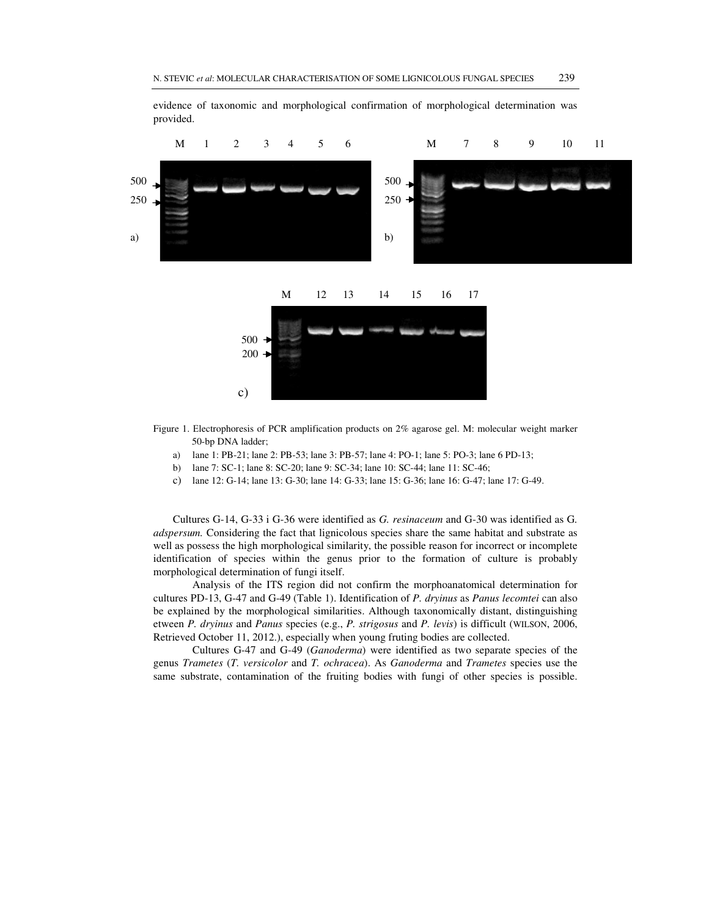

evidence of taxonomic and morphological confirmation of morphological determination was provided.

- Figure 1. Еlectrophoresis of PCR amplification products on 2% agarose gel. M: molecular weight marker 50-bp DNA ladder;
	- a) lane 1: PB-21; lane 2: PB-53; lane 3: PB-57; lane 4: PO-1; lane 5: PO-3; lane 6 PD-13;
	- b) lane 7: SC-1; lane 8: SC-20; lane 9: SC-34; lane 10: SC-44; lane 11: SC-46;
	- c) lane 12: G-14; lane 13: G-30; lane 14: G-33; lane 15: G-36; lane 16: G-47; lane 17: G-49.

Cultures G-14, G-33 i G-36 were identified as *G. resinaceum* and G-30 was identified as G*. adspersum.* Considering the fact that lignicolous species share the same habitat and substrate as well as possess the high morphological similarity, the possible reason for incorrect or incomplete identification of species within the genus prior to the formation of culture is probably morphological determination of fungi itself.

 Analysis of the ITS region did not confirm the morphoanatomical determination for cultures PD-13, G-47 and G-49 (Table 1). Identification of *P. dryinus* as *Panus lecomtei* can also be explained by the morphological similarities. Although taxonomically distant, distinguishing etween *P. dryinus* and *Panus* species (e.g., *P. strigosus* and *P. levis*) is difficult (WILSON, 2006, Retrieved October 11, 2012.), especially when young fruting bodies are collected.

 Cultures G-47 and G-49 (*Ganoderma*) were identified as two separate species of the genus *Trametes* (*T. versicolor* and *T. ochracea*). As *Ganoderma* and *Trametes* species use the same substrate, contamination of the fruiting bodies with fungi of other species is possible.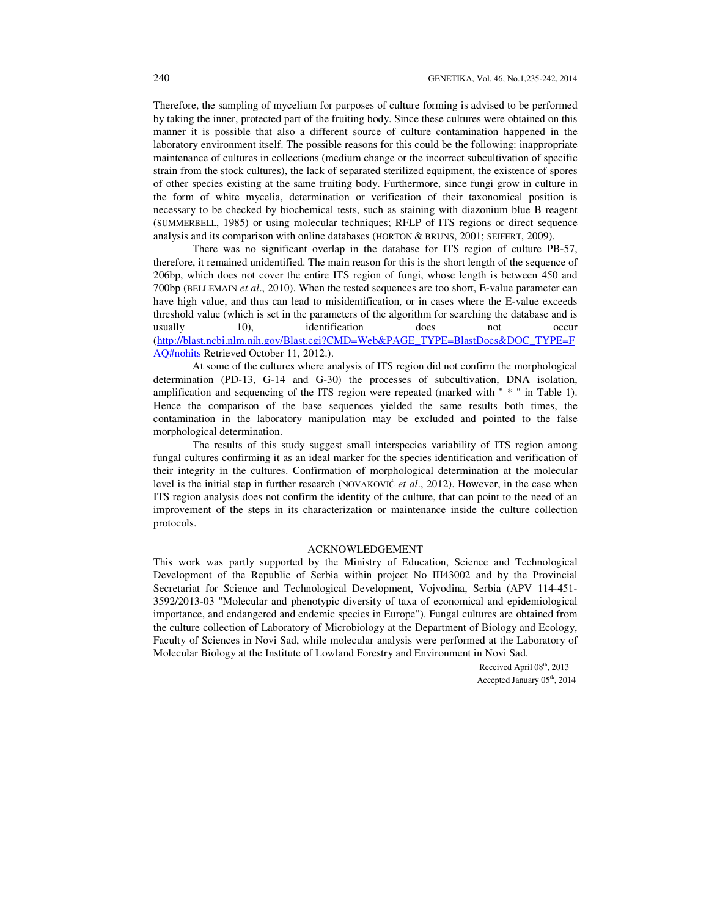Therefore, the sampling of mycelium for purposes of culture forming is advised to be performed by taking the inner, protected part of the fruiting body. Since these cultures were obtained on this manner it is possible that also a different source of culture contamination happened in the laboratory environment itself. The possible reasons for this could be the following: inappropriate maintenance of cultures in collections (medium change or the incorrect subcultivation of specific strain from the stock cultures), the lack of separated sterilized equipment, the existence of spores of other species existing at the same fruiting body. Furthermore, since fungi grow in culture in the form of white mycelia, determination or verification of their taxonomical position is necessary to be checked by biochemical tests, such as staining with diazonium blue B reagent (SUMMERBELL, 1985) or using molecular techniques; RFLP of ITS regions or direct sequence analysis and its comparison with online databases (HORTON & BRUNS, 2001; SEIFERT, 2009).

 There was no significant overlap in the database for ITS region of culture PB-57, therefore, it remained unidentified. The main reason for this is the short length of the sequence of 206bp, which does not cover the entire ITS region of fungi, whose length is between 450 and 700bp (BELLEMAIN *et al*., 2010). When the tested sequences are too short, E-value parameter can have high value, and thus can lead to misidentification, or in cases where the E-value exceeds threshold value (which is set in the parameters of the algorithm for searching the database and is usually 10), identification does not occur (http://blast.ncbi.nlm.nih.gov/Blast.cgi?CMD=Web&PAGE\_TYPE=BlastDocs&DOC\_TYPE=F AQ#nohits Retrieved October 11, 2012.).

 At some of the cultures where analysis of ITS region did not confirm the morphological determination (PD-13, G-14 and G-30) the processes of subcultivation, DNA isolation, amplification and sequencing of the ITS region were repeated (marked with " \* " in Table 1). Hence the comparison of the base sequences yielded the same results both times, the contamination in the laboratory manipulation may be excluded and pointed to the false morphological determination.

 The results of this study suggest small interspecies variability of ITS region among fungal cultures confirming it as an ideal marker for the species identification and verification of their integrity in the cultures. Confirmation of morphological determination at the molecular level is the initial step in further research (NOVAKOVIĆ *et al*., 2012). However, in the case when ITS region analysis does not confirm the identity of the culture, that can point to the need of an improvement of the steps in its characterization or maintenance inside the culture collection protocols.

#### ACKNOWLEDGEMENT

This work was partly supported by the Ministry of Education, Science and Technological Development of the Republic of Serbia within project No III43002 and by the Provincial Secretariat for Science and Technological Development, Vojvodina, Serbia (APV 114-451- 3592/2013-03 "Molecular and phenotypic diversity of taxa of economical and epidemiological importance, and endangered and endemic species in Europe"). Fungal cultures are obtained from the culture collection of Laboratory of Microbiology at the Department of Biology and Ecology, Faculty of Sciences in Novi Sad, while molecular analysis were performed at the Laboratory of Molecular Biology at the Institute of Lowland Forestry and Environment in Novi Sad.

> Received April 08<sup>th</sup>, 2013 Accepted January 05<sup>th</sup>, 2014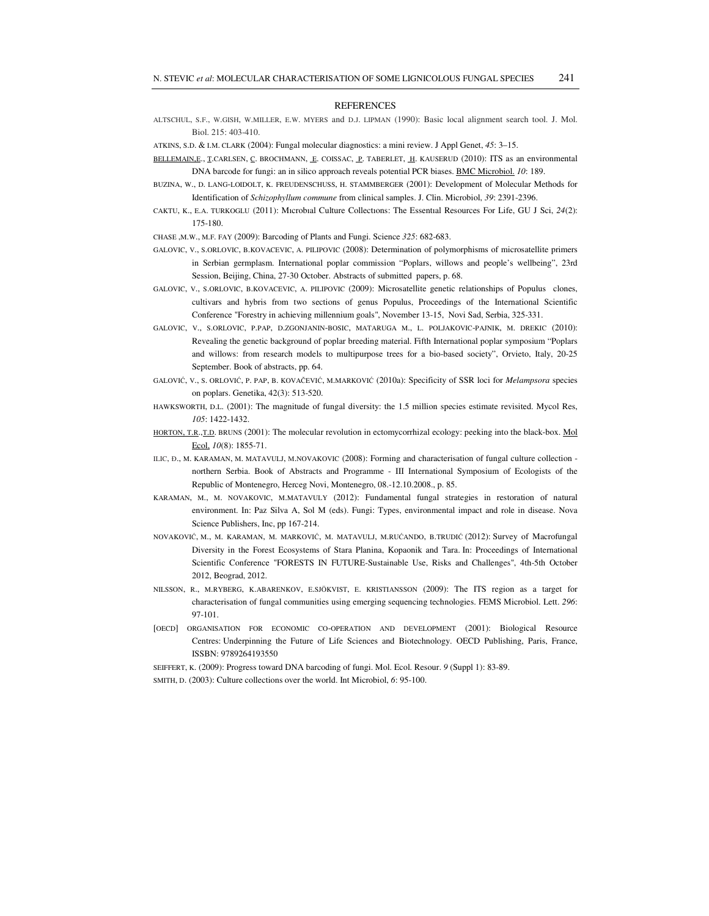#### **REFERENCES**

- ALTSCHUL, S.F., W.GISH, W.MILLER, E.W. MYERS and D.J. LIPMAN (1990): Basic local alignment search tool. J. Mol. Biol. 215: 403-410.
- ATKINS, S.D. & I.M. CLARK (2004): Fungal molecular diagnostics: a mini review. J Appl Genet, *45*: 3–15.
- BELLEMAIN,E., T.CARLSEN, C. BROCHMANN, E. COISSAC, P. TABERLET, H. KAUSERUD (2010): ITS as an environmental DNA barcode for fungi: an in silico approach reveals potential PCR biases. BMC Microbiol. *10*: 189.
- BUZINA, W., D. LANG-LOIDOLT, K. FREUDENSCHUSS, H. STAMMBERGER (2001): Development of Molecular Methods for Identification of *Schizophyllum commune* from clinical samples. J. Clin. Microbiol, *39*: 2391-2396.
- CAKTU, K., E.A. TURKOGLU (2011): Mıcrobıal Culture Collectıons: The Essentıal Resources For Life, GU J Sci, *24*(2): 175-180.
- CHASE ,M.W., M.F. FAY (2009): Barcoding of Plants and Fungi. Science *325*: 682-683.
- GALOVIC, V., S.ORLOVIC, B.KOVACEVIC, A. PILIPOVIC (2008): Determination of polymorphisms of microsatellite primers in Serbian germplasm. International poplar commission "Poplars, willows and people's wellbeing", 23rd Session, Beijing, China, 27-30 October. Abstracts of submitted papers, p. 68.
- GALOVIC, V., S.ORLOVIC, B.KOVACEVIC, A. PILIPOVIC (2009): Microsatellite genetic relationships of Populus clones, cultivars and hybris from two sections of genus Populus, Proceedings of the International Scientific Conference "Forestry in achieving millennium goals", November 13-15, Novi Sad, Serbia, 325-331.
- GALOVIC, V., S.ORLOVIC, P.PAP, D.ZGONJANIN-BOSIC, MATARUGA M., L. POLJAKOVIC-PAJNIK, M. DREKIC (2010): Revealing the genetic background of poplar breeding material. Fifth International poplar symposium "Poplars and willows: from research models to multipurpose trees for a bio-based society", Orvieto, Italy, 20-25 September. Book of abstracts, pp. 64.
- GALOVIĆ, V., S. ORLOVIĆ, P. PAP, B. KOVAČEVIĆ, M.MARKOVIĆ (2010a): Specificity of SSR loci for *Melampsora* species on poplars. Genetika, 42(3): 513-520.
- HAWKSWORTH, D.L. (2001): The magnitude of fungal diversity: the 1.5 million species estimate revisited. Mycol Res, *105*: 1422-1432.
- HORTON, T.R., T.D. BRUNS (2001): The molecular revolution in ectomycorrhizal ecology: peeking into the black-box. Mol Ecol, *10*(8): 1855-71.
- ILIC, Đ., M. KARAMAN, M. MATAVULJ, М.NOVAKOVIC (2008): Forming and characterisation of fungal culture collection northern Serbia. Book of Abstracts and Programme - III International Symposium of Ecologists of the Republic of Montenegro, Herceg Novi, Montenegro, 08.-12.10.2008., p. 85.
- KARAMAN, M., M. NOVAKOVIC, M.MATAVULY (2012): Fundamental fungal strategies in restoration of natural environment. In: Paz Silva A, Sol M (eds). Fungi: Types, environmental impact and role in disease. Nova Science Publishers, Inc, pp 167-214.
- NOVAKOVIĆ, M., M. KARAMAN, M. MARKOVIĆ, M. MATAVULJ, M.RUĆANDO, B.TRUDIĆ (2012): Survey of Macrofungal Diversity in the Forest Ecosystems of Stara Planina, Kopaonik and Tara. In: Proceedings of International Scientific Conference "FORESTS IN FUTURE-Sustainable Use, Risks and Challenges", 4th-5th October 2012, Beograd, 2012.
- NILSSON, R., M.RYBERG, K.ABARENKOV, E.SJÖKVIST, E. KRISTIANSSON (2009): The ITS region as a target for characterisation of fungal communities using emerging sequencing technologies. FEMS Microbiol. Lett. *296*: 97-101.
- [OECD] ORGANISATION FOR ECONOMIC CO-OPERATION AND DEVELOPMENT (2001): Biological Resource Centres: Underpinning the Future of Life Sciences and Biotechnology. OECD Publishing, Paris, France, ISSBN: 9789264193550
- SEIFFERT, K. (2009): Progress toward DNA barcoding of fungi. Mol. Ecol. Resour. *9* (Suppl 1): 83-89.
- SMITH, D. (2003): Culture collections over the world. Int Microbiol, *6*: 95-100.